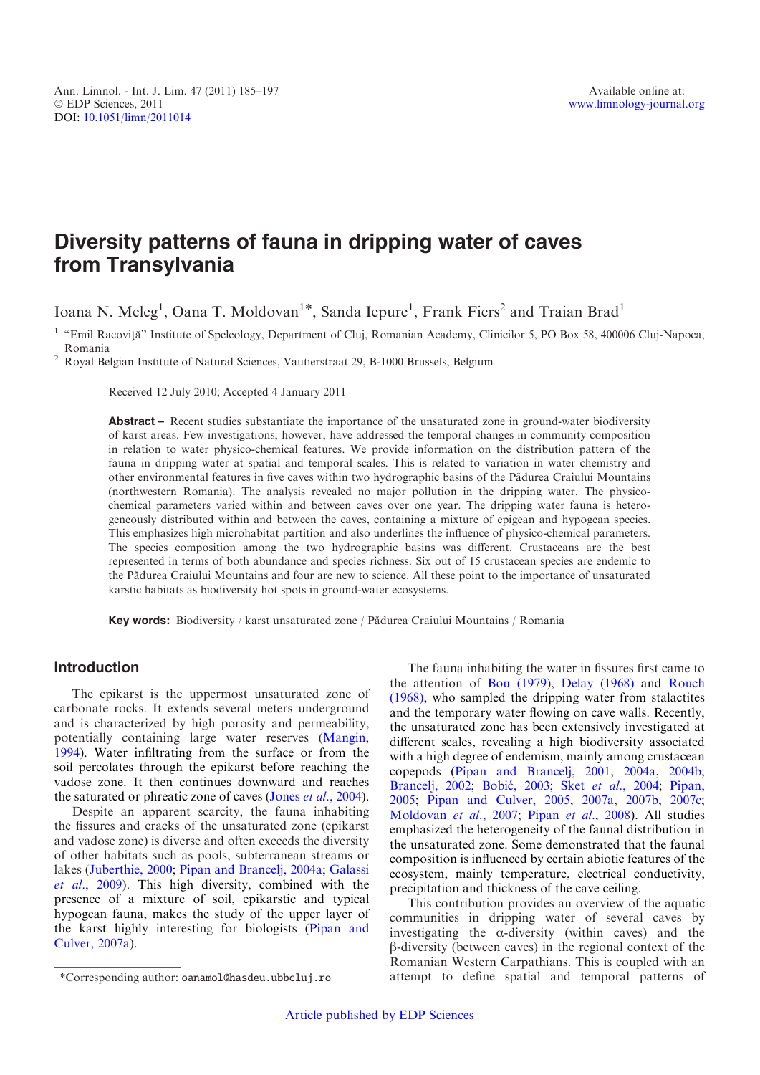# Diversity patterns of fauna in dripping water of caves from Transylvania

Ioana N. Meleg<sup>1</sup>, Oana T. Moldovan<sup>1\*</sup>, Sanda Iepure<sup>1</sup>, Frank Fiers<sup>2</sup> and Traian Brad<sup>1</sup>

<sup>1</sup> "Emil Racoviță" Institute of Speleology, Department of Cluj, Romanian Academy, Clinicilor 5, PO Box 58, 400006 Cluj-Napoca, Romania

 $2$  Royal Belgian Institute of Natural Sciences, Vautierstraat 29, B-1000 Brussels, Belgium

Received 12 July 2010; Accepted 4 January 2011

Abstract – Recent studies substantiate the importance of the unsaturated zone in ground-water biodiversity of karst areas. Few investigations, however, have addressed the temporal changes in community composition in relation to water physico-chemical features. We provide information on the distribution pattern of the fauna in dripping water at spatial and temporal scales. This is related to variation in water chemistry and other environmental features in five caves within two hydrographic basins of the Pa˘durea Craiului Mountains (northwestern Romania). The analysis revealed no major pollution in the dripping water. The physicochemical parameters varied within and between caves over one year. The dripping water fauna is heterogeneously distributed within and between the caves, containing a mixture of epigean and hypogean species. This emphasizes high microhabitat partition and also underlines the influence of physico-chemical parameters. The species composition among the two hydrographic basins was different. Crustaceans are the best represented in terms of both abundance and species richness. Six out of 15 crustacean species are endemic to the Pa˘durea Craiului Mountains and four are new to science. All these point to the importance of unsaturated karstic habitats as biodiversity hot spots in ground-water ecosystems.

Key words: Biodiversity / karst unsaturated zone / Pădurea Craiului Mountains / Romania

# Introduction

The epikarst is the uppermost unsaturated zone of carbonate rocks. It extends several meters underground and is characterized by high porosity and permeability, potentially containing large water reserves [\(Mangin,](#page-11-0) [1994](#page-11-0)). Water infiltrating from the surface or from the soil percolates through the epikarst before reaching the vadose zone. It then continues downward and reaches the saturated or phreatic zone of caves (Jones et al.[, 2004](#page-11-0)).

Despite an apparent scarcity, the fauna inhabiting the fissures and cracks of the unsaturated zone (epikarst and vadose zone) is diverse and often exceeds the diversity of other habitats such as pools, subterranean streams or lakes ([Juberthie, 2000;](#page-11-0) [Pipan and Brancelj, 2004a;](#page-12-0) [Galassi](#page-11-0) et al.[, 2009](#page-11-0)). This high diversity, combined with the presence of a mixture of soil, epikarstic and typical hypogean fauna, makes the study of the upper layer of the karst highly interesting for biologists ([Pipan and](#page-12-0) [Culver, 2007a](#page-12-0)).

The fauna inhabiting the water in fissures first came to the attention of [Bou \(1979\)](#page-11-0), [Delay \(1968\)](#page-11-0) and [Rouch](#page-12-0) [\(1968\),](#page-12-0) who sampled the dripping water from stalactites and the temporary water flowing on cave walls. Recently, the unsaturated zone has been extensively investigated at different scales, revealing a high biodiversity associated with a high degree of endemism, mainly among crustacean copepods [\(Pipan and Brancelj, 2001,](#page-12-0) [2004a,](#page-12-0) [2004b;](#page-12-0) [Brancelj, 2002;](#page-11-0) Bobić, 2003; Sket et al.[, 2004;](#page-12-0) [Pipan,](#page-12-0) [2005](#page-12-0); [Pipan and Culver, 2005](#page-12-0), [2007a](#page-12-0), [2007b](#page-12-0), [2007c;](#page-12-0) [Moldovan](#page-11-0) et al., 2007; Pipan et al.[, 2008](#page-12-0)). All studies emphasized the heterogeneity of the faunal distribution in the unsaturated zone. Some demonstrated that the faunal composition is influenced by certain abiotic features of the ecosystem, mainly temperature, electrical conductivity, precipitation and thickness of the cave ceiling.

This contribution provides an overview of the aquatic communities in dripping water of several caves by investigating the  $\alpha$ -diversity (within caves) and the  $\beta$ -diversity (between caves) in the regional context of the Romanian Western Carpathians. This is coupled with an \*Corresponding author: oanamol@hasdeu.ubbcluj.ro attempt to define spatial and temporal patterns of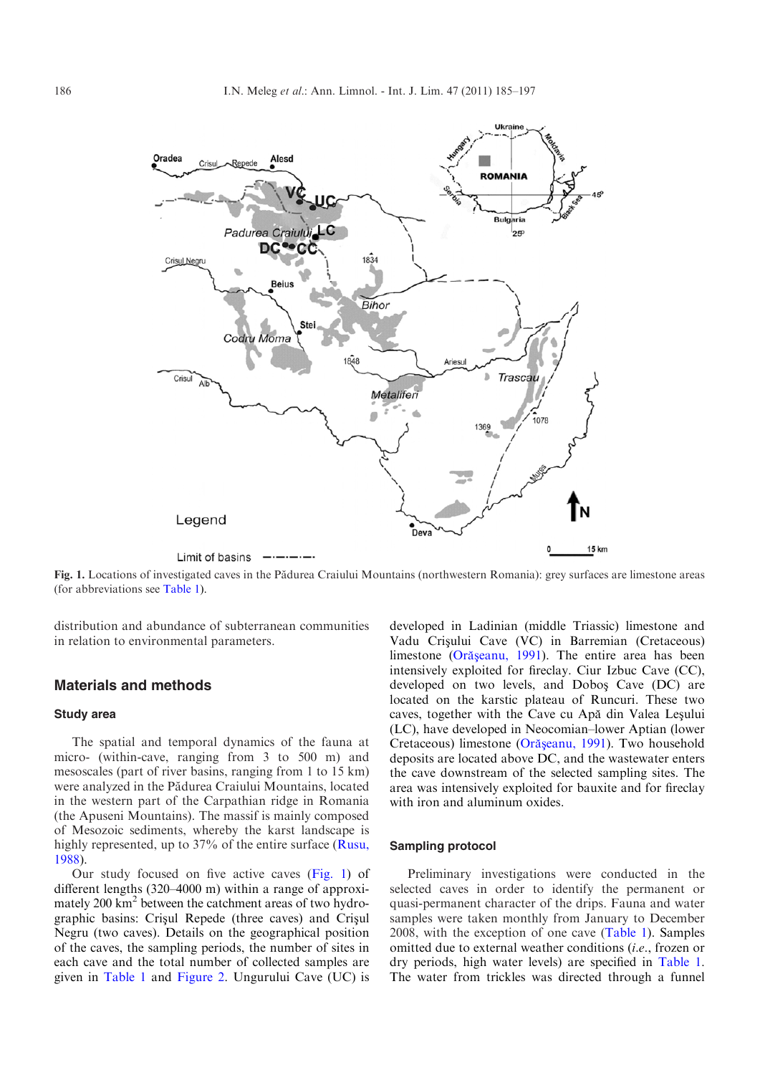<span id="page-1-0"></span>

Fig. 1. Locations of investigated caves in the Pădurea Craiului Mountains (northwestern Romania): grey surfaces are limestone areas (for abbreviations see [Table 1](#page-2-0)).

distribution and abundance of subterranean communities in relation to environmental parameters.

# Materials and methods

#### Study area

The spatial and temporal dynamics of the fauna at micro- (within-cave, ranging from 3 to 500 m) and mesoscales (part of river basins, ranging from 1 to 15 km) were analyzed in the Pădurea Craiului Mountains, located in the western part of the Carpathian ridge in Romania (the Apuseni Mountains). The massif is mainly composed of Mesozoic sediments, whereby the karst landscape is highly represented, up to 37% of the entire surface [\(Rusu,](#page-12-0) [1988](#page-12-0)).

Our study focused on five active caves (Fig. 1) of different lengths (320–4000 m) within a range of approximately 200 km<sup>2</sup> between the catchment areas of two hydrographic basins: Crisul Repede (three caves) and Crisul Negru (two caves). Details on the geographical position of the caves, the sampling periods, the number of sites in each cave and the total number of collected samples are given in [Table 1](#page-2-0) and [Figure 2](#page-2-0). Ungurului Cave (UC) is

developed in Ladinian (middle Triassic) limestone and Vadu Crișului Cave (VC) in Barremian (Cretaceous) limestone (Orășeanu, 1991). The entire area has been intensively exploited for fireclay. Ciur Izbuc Cave (CC), developed on two levels, and Dobos¸ Cave (DC) are located on the karstic plateau of Runcuri. These two caves, together with the Cave cu Apă din Valea Leșului (LC), have developed in Neocomian–lower Aptian (lower Cretaceous) limestone (Orășeanu, 1991). Two household deposits are located above DC, and the wastewater enters the cave downstream of the selected sampling sites. The area was intensively exploited for bauxite and for fireclay with iron and aluminum oxides.

#### Sampling protocol

Preliminary investigations were conducted in the selected caves in order to identify the permanent or quasi-permanent character of the drips. Fauna and water samples were taken monthly from January to December 2008, with the exception of one cave [\(Table 1](#page-2-0)). Samples omitted due to external weather conditions (i.e., frozen or dry periods, high water levels) are specified in [Table 1.](#page-2-0) The water from trickles was directed through a funnel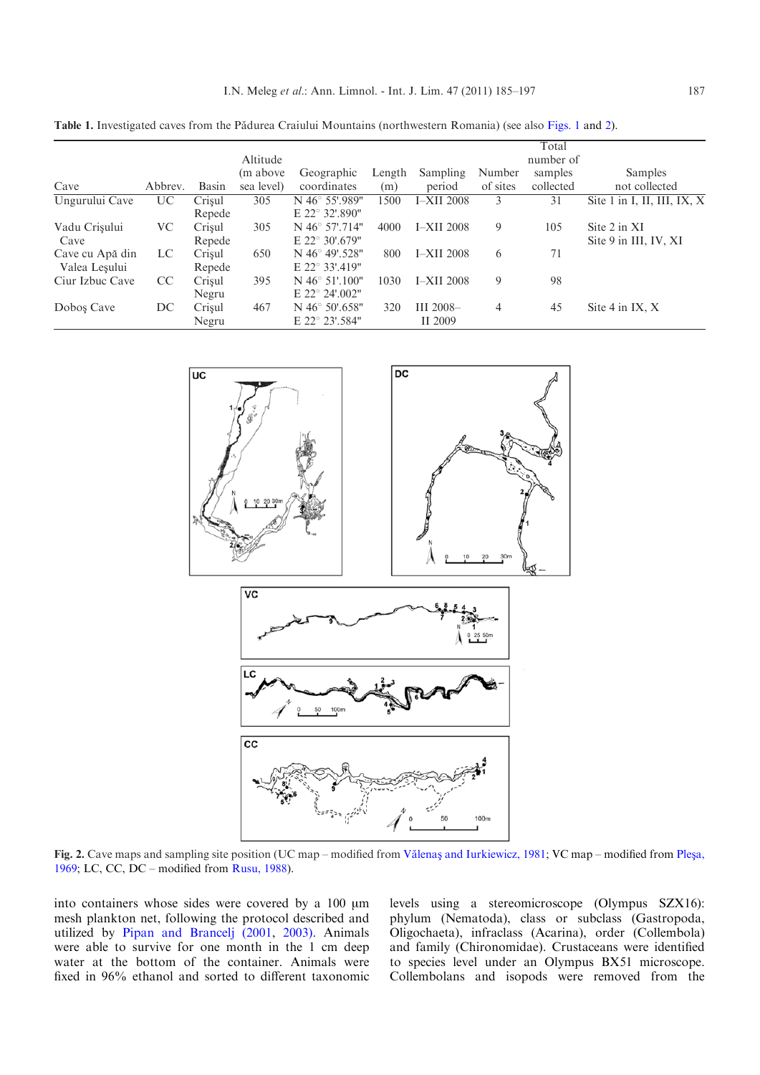<span id="page-2-0"></span>Table 1. Investigated caves from the Pădurea Craiului Mountains (northwestern Romania) (see also [Figs. 1](#page-1-0) and 2).

|                 |         |        | Altitude   |                            |        |                   |          | Total<br>number of |                             |
|-----------------|---------|--------|------------|----------------------------|--------|-------------------|----------|--------------------|-----------------------------|
|                 |         |        | (m above)  | Geographic                 | Length | Sampling          | Number   | samples            | <b>Samples</b>              |
| Cave            | Abbrev. | Basin  | sea level) | coordinates                | (m)    | period            | of sites | collected          | not collected               |
| Ungurului Cave  | UC      | Crisul | 305        | N 46° 55'.989"             | 1500   | <b>I-XII</b> 2008 | 3        | 31                 | Site 1 in I, II, III, IX, X |
|                 |         | Repede |            | E 22° 32'.890"             |        |                   |          |                    |                             |
| Vadu Crișului   | VС      | Crisul | 305        | N 46° 57'.714"             | 4000   | $I-XII$ 2008      | 9        | 105                | Site 2 in XI                |
| Cave            |         | Repede |            | E 22° 30'.679"             |        |                   |          |                    | Site 9 in III, IV, XI       |
| Cave cu Apă din | LC      | Crisul | 650        | $N$ 46 $^{\circ}$ 49'.528" | 800    | <b>I-XII</b> 2008 | 6        | 71                 |                             |
| Valea Leşului   |         | Repede |            | E 22° 33'.419"             |        |                   |          |                    |                             |
| Ciur Izbuc Cave | CC      | Crisul | 395        | $N$ 46 $\degree$ 51'.100"  | 1030   | <b>I-XII</b> 2008 | 9        | 98                 |                             |
|                 |         | Negru  |            | E 22° 24'.002"             |        |                   |          |                    |                             |
| Dobos Cave      | DC      | Crisul | 467        | $N$ 46 $\degree$ 50'.658"  | 320    | III $2008-$       | 4        | 45                 | Site $4$ in IX, X           |
|                 |         | Negru  |            | E 22° 23'.584"             |        | II 2009           |          |                    |                             |



Fig. 2. Cave maps and sampling site position (UC map – modified from Vălenas [and Iurkiewicz, 1981](#page-12-0); VC map – modified from Plesa, [1969](#page-12-0); LC, CC, DC – modified from [Rusu, 1988](#page-12-0)).

into containers whose sides were covered by a 100  $\mu$ m mesh plankton net, following the protocol described and utilized by [Pipan and Brancelj \(2001](#page-12-0), [2003\)](#page-12-0). Animals were able to survive for one month in the 1 cm deep water at the bottom of the container. Animals were fixed in 96% ethanol and sorted to different taxonomic

levels using a stereomicroscope (Olympus SZX16): phylum (Nematoda), class or subclass (Gastropoda, Oligochaeta), infraclass (Acarina), order (Collembola) and family (Chironomidae). Crustaceans were identified to species level under an Olympus BX51 microscope. Collembolans and isopods were removed from the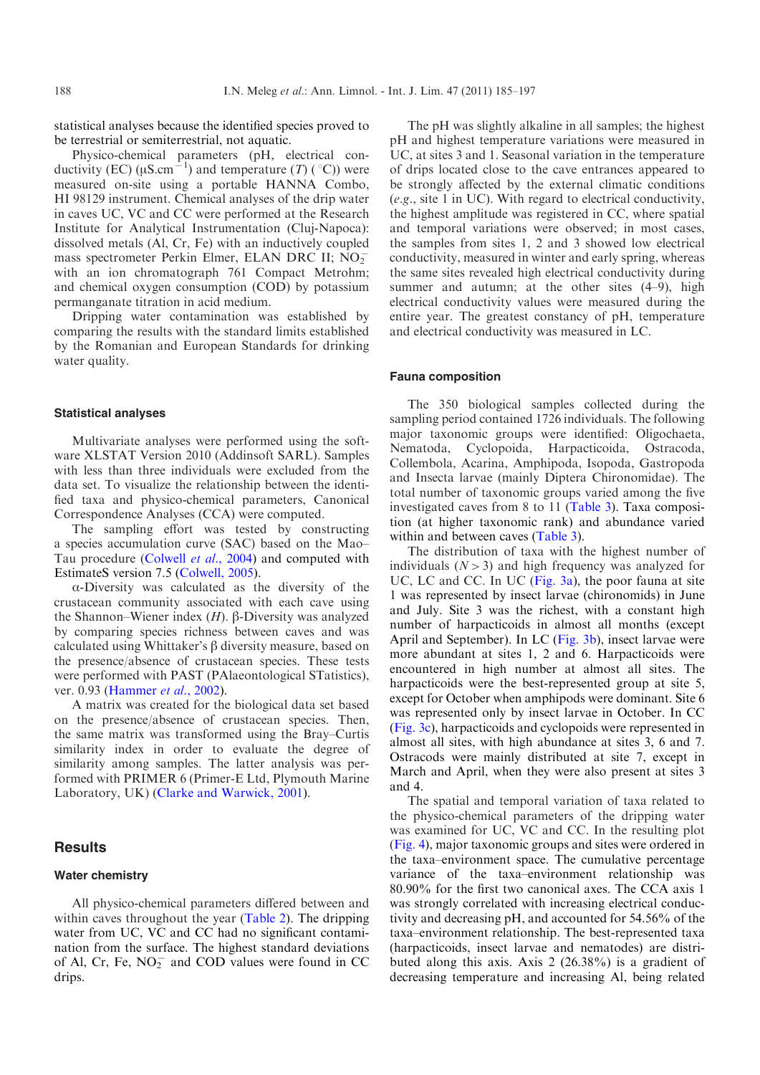statistical analyses because the identified species proved to be terrestrial or semiterrestrial, not aquatic.

Physico-chemical parameters (pH, electrical conductivity (EC) ( $\mu$ S.cm<sup>-1</sup>) and temperature (T) (°C)) were measured on-site using a portable HANNA Combo, HI 98129 instrument. Chemical analyses of the drip water in caves UC, VC and CC were performed at the Research Institute for Analytical Instrumentation (Cluj-Napoca): dissolved metals (Al, Cr, Fe) with an inductively coupled mass spectrometer Perkin Elmer, ELAN DRC II;  $\overline{NO_2}$ with an ion chromatograph 761 Compact Metrohm; and chemical oxygen consumption (COD) by potassium permanganate titration in acid medium.

Dripping water contamination was established by comparing the results with the standard limits established by the Romanian and European Standards for drinking water quality.

## Statistical analyses

Multivariate analyses were performed using the software XLSTAT Version 2010 (Addinsoft SARL). Samples with less than three individuals were excluded from the data set. To visualize the relationship between the identified taxa and physico-chemical parameters, Canonical Correspondence Analyses (CCA) were computed.

The sampling effort was tested by constructing a species accumulation curve (SAC) based on the Mao– Tau procedure ([Colwell](#page-11-0) et al., 2004) and computed with EstimateS version 7.5 [\(Colwell, 2005\)](#page-11-0).

a-Diversity was calculated as the diversity of the crustacean community associated with each cave using the Shannon–Wiener index  $(H)$ .  $\beta$ -Diversity was analyzed by comparing species richness between caves and was calculated using Whittaker's  $\beta$  diversity measure, based on the presence/absence of crustacean species. These tests were performed with PAST (PAlaeontological STatistics), ver. 0.93 ([Hammer](#page-11-0) *et al.*, 2002).

A matrix was created for the biological data set based on the presence/absence of crustacean species. Then, the same matrix was transformed using the Bray–Curtis similarity index in order to evaluate the degree of similarity among samples. The latter analysis was performed with PRIMER 6 (Primer-E Ltd, Plymouth Marine Laboratory, UK) ([Clarke and Warwick, 2001\)](#page-11-0).

# **Results**

## Water chemistry

All physico-chemical parameters differed between and within caves throughout the year ([Table 2](#page-4-0)). The dripping water from UC, VC and CC had no significant contamination from the surface. The highest standard deviations of Al, Cr, Fe,  $NO<sub>2</sub><sup>-</sup>$  and COD values were found in CC drips.

The pH was slightly alkaline in all samples; the highest pH and highest temperature variations were measured in UC, at sites 3 and 1. Seasonal variation in the temperature of drips located close to the cave entrances appeared to be strongly affected by the external climatic conditions (e.g., site 1 in UC). With regard to electrical conductivity, the highest amplitude was registered in CC, where spatial and temporal variations were observed; in most cases, the samples from sites 1, 2 and 3 showed low electrical conductivity, measured in winter and early spring, whereas the same sites revealed high electrical conductivity during summer and autumn; at the other sites (4–9), high electrical conductivity values were measured during the entire year. The greatest constancy of pH, temperature and electrical conductivity was measured in LC.

#### Fauna composition

The 350 biological samples collected during the sampling period contained 1726 individuals. The following major taxonomic groups were identified: Oligochaeta, Nematoda, Cyclopoida, Harpacticoida, Ostracoda, Collembola, Acarina, Amphipoda, Isopoda, Gastropoda and Insecta larvae (mainly Diptera Chironomidae). The total number of taxonomic groups varied among the five investigated caves from 8 to 11 ([Table 3](#page-5-0)). Taxa composition (at higher taxonomic rank) and abundance varied within and between caves ([Table 3\)](#page-5-0).

The distribution of taxa with the highest number of individuals  $(N>3)$  and high frequency was analyzed for UC, LC and CC. In UC [\(Fig. 3a](#page-6-0)), the poor fauna at site 1 was represented by insect larvae (chironomids) in June and July. Site 3 was the richest, with a constant high number of harpacticoids in almost all months (except April and September). In LC [\(Fig. 3b\)](#page-6-0), insect larvae were more abundant at sites 1, 2 and 6. Harpacticoids were encountered in high number at almost all sites. The harpacticoids were the best-represented group at site 5, except for October when amphipods were dominant. Site 6 was represented only by insect larvae in October. In CC ([Fig. 3c](#page-6-0)), harpacticoids and cyclopoids were represented in almost all sites, with high abundance at sites 3, 6 and 7. Ostracods were mainly distributed at site 7, except in March and April, when they were also present at sites 3 and 4.

The spatial and temporal variation of taxa related to the physico-chemical parameters of the dripping water was examined for UC, VC and CC. In the resulting plot ([Fig. 4\)](#page-7-0), major taxonomic groups and sites were ordered in the taxa–environment space. The cumulative percentage variance of the taxa–environment relationship was 80.90% for the first two canonical axes. The CCA axis 1 was strongly correlated with increasing electrical conductivity and decreasing pH, and accounted for 54.56% of the taxa–environment relationship. The best-represented taxa (harpacticoids, insect larvae and nematodes) are distributed along this axis. Axis 2 (26.38%) is a gradient of decreasing temperature and increasing Al, being related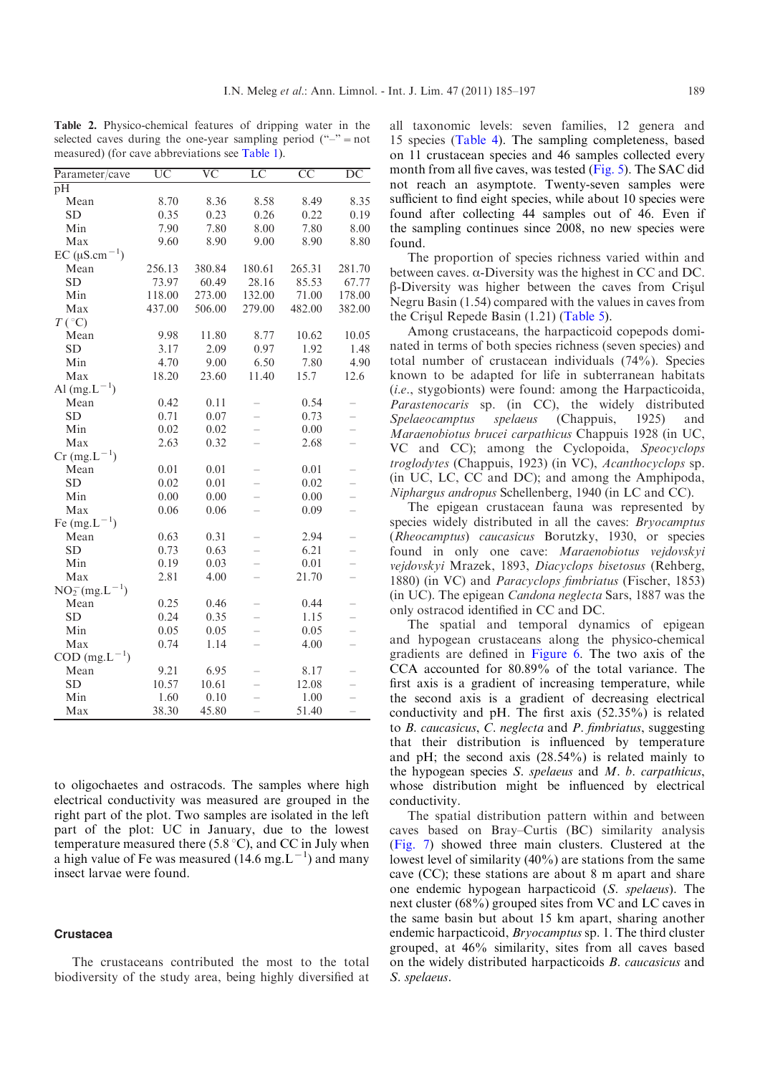<span id="page-4-0"></span>Table 2. Physico-chemical features of dripping water in the selected caves during the one-year sampling period  $("-")$  = not measured) (for cave abbreviations see [Table 1\)](#page-2-0).

| Parameter/cave                  | $\overline{\text{UC}}$ | $\overline{\text{VC}}$ | $\overline{LC}$          | $\overline{CC}$ | $\overline{\mathrm{DC}}$ |
|---------------------------------|------------------------|------------------------|--------------------------|-----------------|--------------------------|
| pH                              |                        |                        |                          |                 |                          |
| Mean                            | 8.70                   | 8.36                   | 8.58                     | 8.49            | 8.35                     |
| <b>SD</b>                       | 0.35                   | 0.23                   | 0.26                     | 0.22            | 0.19                     |
| Min                             | 7.90                   | 7.80                   | 8.00                     | 7.80            | 8.00                     |
| Max                             | 9.60                   | 8.90                   | 9.00                     | 8.90            | 8.80                     |
| EC ( $\mu$ S.cm <sup>-1</sup> ) |                        |                        |                          |                 |                          |
| Mean                            | 256.13                 | 380.84                 | 180.61                   | 265.31          | 281.70                   |
| <b>SD</b>                       | 73.97                  | 60.49                  | 28.16                    | 85.53           | 67.77                    |
| Min                             | 118.00                 | 273.00                 | 132.00                   | 71.00           | 178.00                   |
| Max                             | 437.00                 | 506.00                 | 279.00                   | 482.00          | 382.00                   |
| $T({}^{\circ}C)$                |                        |                        |                          |                 |                          |
| Mean                            | 9.98                   | 11.80                  | 8.77                     | 10.62           | 10.05                    |
| <b>SD</b>                       | 3.17                   | 2.09                   | 0.97                     | 1.92            | 1.48                     |
| Min                             | 4.70                   | 9.00                   | 6.50                     | 7.80            | 4.90                     |
| Max                             | 18.20                  | 23.60                  | 11.40                    | 15.7            | 12.6                     |
| Al $(mg.L^{-1})$                |                        |                        |                          |                 |                          |
| Mean                            | 0.42                   | 0.11                   |                          | 0.54            |                          |
| <b>SD</b>                       | 0.71                   | 0.07                   |                          | 0.73            |                          |
| Min                             | 0.02                   | 0.02                   |                          | 0.00            |                          |
| Max                             | 2.63                   | 0.32                   | $\overline{\phantom{0}}$ | 2.68            | $\overline{\phantom{0}}$ |
| $Cr$ (mg. $L^{-1}$ )            |                        |                        |                          |                 |                          |
| Mean                            | 0.01                   | 0.01                   |                          | 0.01            |                          |
| <b>SD</b>                       | 0.02                   | 0.01                   |                          | 0.02            |                          |
| Min                             | 0.00                   | 0.00                   |                          | 0.00            |                          |
| Max                             | 0.06                   | 0.06                   | $\overline{\phantom{0}}$ | 0.09            | $\overline{\phantom{0}}$ |
| Fe $(mg.L^{-1})$                |                        |                        |                          |                 |                          |
| Mean                            | 0.63                   | 0.31                   |                          | 2.94            |                          |
| <b>SD</b>                       | 0.73                   | 0.63                   |                          | 6.21            |                          |
| Min                             | 0.19                   | 0.03                   | $\overline{\phantom{0}}$ | 0.01            |                          |
| Max                             | 2.81                   | 4.00                   | $\overline{\phantom{0}}$ | 21.70           | $\overline{\phantom{0}}$ |
| $NO_2^-(mg.L^{-1})$             |                        |                        |                          |                 |                          |
| Mean                            | 0.25                   | 0.46                   |                          | 0.44            |                          |
| <b>SD</b>                       | 0.24                   | 0.35                   |                          | 1.15            |                          |
| Min                             | 0.05                   | 0.05                   | $\overline{\phantom{0}}$ | 0.05            |                          |
| Max                             | 0.74                   | 1.14                   | $\overline{\phantom{0}}$ | 4.00            |                          |
| COD (mg.L                       |                        |                        |                          |                 |                          |
| Mean                            | 9.21                   | 6.95                   |                          | 8.17            |                          |
| <b>SD</b>                       | 10.57                  | 10.61                  |                          | 12.08           |                          |
| Min                             | 1.60                   | 0.10                   |                          | 1.00            |                          |
| Max                             | 38.30                  | 45.80                  | $\overline{\phantom{0}}$ | 51.40           | $\overline{\phantom{0}}$ |

to oligochaetes and ostracods. The samples where high electrical conductivity was measured are grouped in the right part of the plot. Two samples are isolated in the left part of the plot: UC in January, due to the lowest temperature measured there (5.8  $\degree$ C), and CC in July when a high value of Fe was measured  $(14.6 \text{ mg} \cdot \text{L}^{-1})$  and many insect larvae were found.

## **Crustacea**

The crustaceans contributed the most to the total biodiversity of the study area, being highly diversified at all taxonomic levels: seven families, 12 genera and 15 species [\(Table 4](#page-8-0)). The sampling completeness, based on 11 crustacean species and 46 samples collected every month from all five caves, was tested [\(Fig. 5](#page-9-0)). The SAC did not reach an asymptote. Twenty-seven samples were sufficient to find eight species, while about 10 species were found after collecting 44 samples out of 46. Even if the sampling continues since 2008, no new species were found.

The proportion of species richness varied within and between caves.  $\alpha$ -Diversity was the highest in CC and DC.  $\beta$ -Diversity was higher between the caves from Crisul Negru Basin (1.54) compared with the values in caves from the Crisul Repede Basin  $(1.21)$  [\(Table 5](#page-9-0)).

Among crustaceans, the harpacticoid copepods dominated in terms of both species richness (seven species) and total number of crustacean individuals (74%). Species known to be adapted for life in subterranean habitats (i.e., stygobionts) were found: among the Harpacticoida, Parastenocaris sp. (in CC), the widely distributed Spelaeocamptus spelaeus (Chappuis, 1925) and Maraenobiotus brucei carpathicus Chappuis 1928 (in UC, VC and CC); among the Cyclopoida, Speocyclops troglodytes (Chappuis, 1923) (in VC), Acanthocyclops sp. (in UC, LC, CC and DC); and among the Amphipoda, Niphargus andropus Schellenberg, 1940 (in LC and CC).

The epigean crustacean fauna was represented by species widely distributed in all the caves: Bryocamptus (Rheocamptus) caucasicus Borutzky, 1930, or species found in only one cave: Maraenobiotus vejdovskyi vejdovskyi Mrazek, 1893, Diacyclops bisetosus (Rehberg, 1880) (in VC) and Paracyclops fimbriatus (Fischer, 1853) (in UC). The epigean Candona neglecta Sars, 1887 was the only ostracod identified in CC and DC.

The spatial and temporal dynamics of epigean and hypogean crustaceans along the physico-chemical gradients are defined in [Figure 6.](#page-10-0) The two axis of the CCA accounted for 80.89% of the total variance. The first axis is a gradient of increasing temperature, while the second axis is a gradient of decreasing electrical conductivity and pH. The first axis (52.35%) is related to B. caucasicus, C. neglecta and P. fimbriatus, suggesting that their distribution is influenced by temperature and pH; the second axis (28.54%) is related mainly to the hypogean species S. spelaeus and M. b. carpathicus, whose distribution might be influenced by electrical conductivity.

The spatial distribution pattern within and between caves based on Bray–Curtis (BC) similarity analysis ([Fig. 7](#page-10-0)) showed three main clusters. Clustered at the lowest level of similarity (40%) are stations from the same cave (CC); these stations are about 8 m apart and share one endemic hypogean harpacticoid (S. spelaeus). The next cluster (68%) grouped sites from VC and LC caves in the same basin but about 15 km apart, sharing another endemic harpacticoid, *Bryocamptus* sp. 1. The third cluster grouped, at 46% similarity, sites from all caves based on the widely distributed harpacticoids B. caucasicus and S. spelaeus.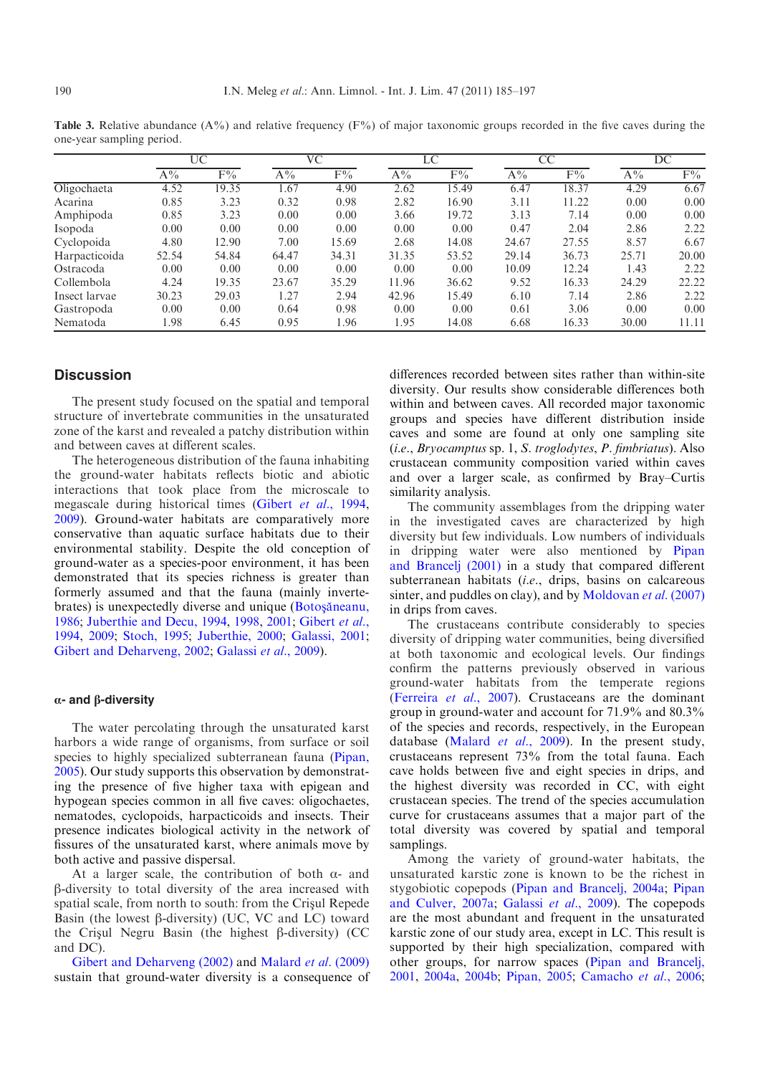|               | UC    |                |       | VC        |           | LC        | CC    |       | DC    |                |
|---------------|-------|----------------|-------|-----------|-----------|-----------|-------|-------|-------|----------------|
|               | $A\%$ | $\mathrm{F}\%$ | $A\%$ | $\rm F\%$ | $\rm A\%$ | $\rm F\%$ | $A\%$ | $F\%$ | $A\%$ | $\mathrm{F}\%$ |
| Oligochaeta   | 4.52  | 19.35          | l.67  | 4.90      | 2.62      | 15.49     | 6.47  | 18.37 | 4.29  | 6.67           |
| Acarina       | 0.85  | 3.23           | 0.32  | 0.98      | 2.82      | 16.90     | 3.11  | 11.22 | 0.00  | 0.00           |
| Amphipoda     | 0.85  | 3.23           | 0.00  | 0.00      | 3.66      | 19.72     | 3.13  | 7.14  | 0.00  | 0.00           |
| Isopoda       | 0.00  | 0.00           | 0.00  | 0.00      | 0.00      | 0.00      | 0.47  | 2.04  | 2.86  | 2.22           |
| Cyclopoida    | 4.80  | 12.90          | 7.00  | 15.69     | 2.68      | 14.08     | 24.67 | 27.55 | 8.57  | 6.67           |
| Harpacticoida | 52.54 | 54.84          | 64.47 | 34.31     | 31.35     | 53.52     | 29.14 | 36.73 | 25.71 | 20.00          |
| Ostracoda     | 0.00  | 0.00           | 0.00  | 0.00      | 0.00      | 0.00      | 10.09 | 12.24 | 1.43  | 2.22           |
| Collembola    | 4.24  | 19.35          | 23.67 | 35.29     | 11.96     | 36.62     | 9.52  | 16.33 | 24.29 | 22.22          |
| Insect larvae | 30.23 | 29.03          | 1.27  | 2.94      | 42.96     | 15.49     | 6.10  | 7.14  | 2.86  | 2.22           |
| Gastropoda    | 0.00  | 0.00           | 0.64  | 0.98      | 0.00      | 0.00      | 0.61  | 3.06  | 0.00  | 0.00           |
| Nematoda      | 1.98  | 6.45           | 0.95  | 1.96      | 1.95      | 14.08     | 6.68  | 16.33 | 30.00 | 11.11          |

<span id="page-5-0"></span>Table 3. Relative abundance (A%) and relative frequency (F%) of major taxonomic groups recorded in the five caves during the one-year sampling period.

# **Discussion**

The present study focused on the spatial and temporal structure of invertebrate communities in the unsaturated zone of the karst and revealed a patchy distribution within and between caves at different scales.

The heterogeneous distribution of the fauna inhabiting the ground-water habitats reflects biotic and abiotic interactions that took place from the microscale to megascale during historical times (Gibert et al.[, 1994,](#page-11-0) [2009](#page-11-0)). Ground-water habitats are comparatively more conservative than aquatic surface habitats due to their environmental stability. Despite the old conception of ground-water as a species-poor environment, it has been demonstrated that its species richness is greater than formerly assumed and that the fauna (mainly invertebrates) is unexpectedly diverse and unique (Botosaneanu, [1986](#page-11-0); [Juberthie and Decu, 1994](#page-11-0), [1998,](#page-11-0) [2001](#page-11-0); [Gibert](#page-11-0) et al., [1994](#page-11-0), [2009](#page-11-0); [Stoch, 1995](#page-12-0); [Juberthie, 2000;](#page-11-0) [Galassi, 2001;](#page-11-0) [Gibert and Deharveng, 2002;](#page-11-0) [Galassi](#page-11-0) et al., 2009).

## $\alpha$ - and  $\beta$ -diversity

The water percolating through the unsaturated karst harbors a wide range of organisms, from surface or soil species to highly specialized subterranean fauna [\(Pipan,](#page-12-0) [2005](#page-12-0)). Our study supports this observation by demonstrating the presence of five higher taxa with epigean and hypogean species common in all five caves: oligochaetes, nematodes, cyclopoids, harpacticoids and insects. Their presence indicates biological activity in the network of fissures of the unsaturated karst, where animals move by both active and passive dispersal.

At a larger scale, the contribution of both  $\alpha$ - and b-diversity to total diversity of the area increased with spatial scale, from north to south: from the Crisul Repede Basin (the lowest  $\beta$ -diversity) (UC, VC and LC) toward the Crisul Negru Basin (the highest  $\beta$ -diversity) (CC and DC).

[Gibert and Deharveng \(2002\)](#page-11-0) and [Malard](#page-11-0) et al. (2009) sustain that ground-water diversity is a consequence of differences recorded between sites rather than within-site diversity. Our results show considerable differences both within and between caves. All recorded major taxonomic groups and species have different distribution inside caves and some are found at only one sampling site (i.e., Bryocamptus sp. 1, S. troglodytes, P. fimbriatus). Also crustacean community composition varied within caves and over a larger scale, as confirmed by Bray–Curtis similarity analysis.

The community assemblages from the dripping water in the investigated caves are characterized by high diversity but few individuals. Low numbers of individuals in dripping water were also mentioned by [Pipan](#page-12-0) [and Brancelj \(2001\)](#page-12-0) in a study that compared different subterranean habitats *(i.e.*, drips, basins on calcareous sinter, and puddles on clay), and by [Moldovan](#page-11-0) et al. (2007) in drips from caves.

The crustaceans contribute considerably to species diversity of dripping water communities, being diversified at both taxonomic and ecological levels. Our findings confirm the patterns previously observed in various ground-water habitats from the temperate regions ([Ferreira](#page-11-0) et al., 2007). Crustaceans are the dominant group in ground-water and account for 71.9% and 80.3% of the species and records, respectively, in the European database [\(Malard](#page-11-0) *et al.*, 2009). In the present study, crustaceans represent 73% from the total fauna. Each cave holds between five and eight species in drips, and the highest diversity was recorded in CC, with eight crustacean species. The trend of the species accumulation curve for crustaceans assumes that a major part of the total diversity was covered by spatial and temporal samplings.

Among the variety of ground-water habitats, the unsaturated karstic zone is known to be the richest in stygobiotic copepods ([Pipan and Brancelj, 2004a;](#page-12-0) [Pipan](#page-12-0) [and Culver, 2007a;](#page-12-0) [Galassi](#page-11-0) et al., 2009). The copepods are the most abundant and frequent in the unsaturated karstic zone of our study area, except in LC. This result is supported by their high specialization, compared with other groups, for narrow spaces ([Pipan and Brancelj,](#page-12-0) [2001](#page-12-0), [2004a](#page-12-0), [2004b](#page-12-0); [Pipan, 2005;](#page-12-0) [Camacho](#page-11-0) et al., 2006;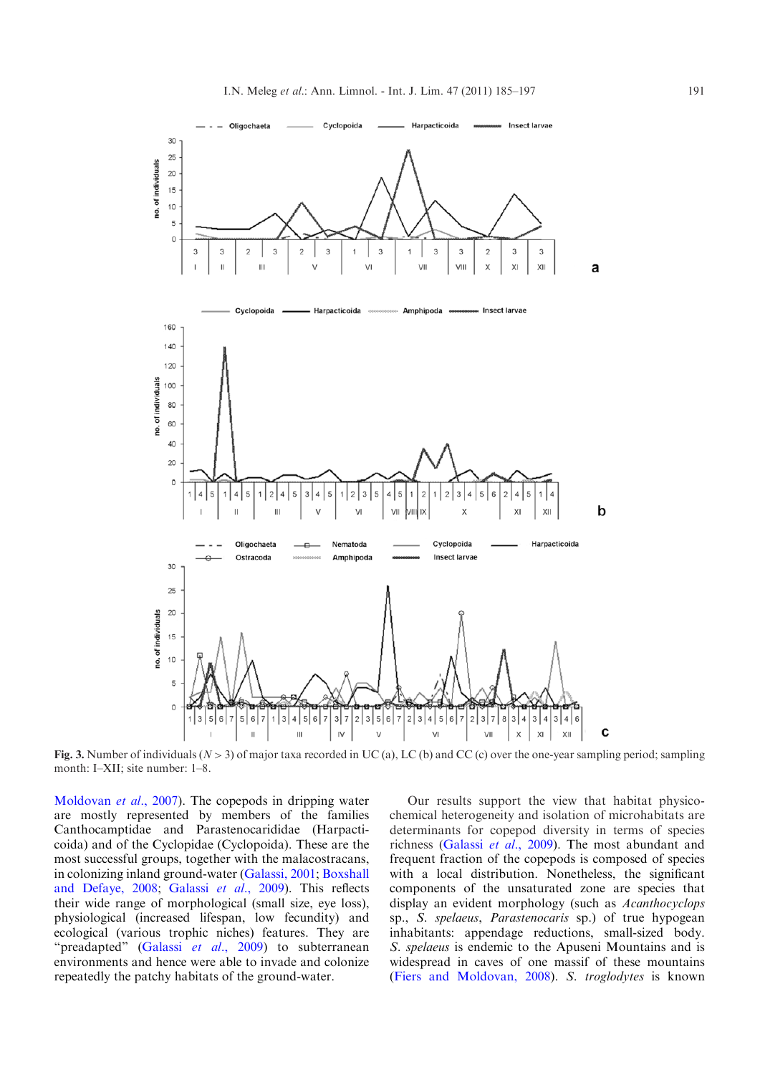<span id="page-6-0"></span>

Fig. 3. Number of individuals ( $N>3$ ) of major taxa recorded in UC (a), LC (b) and CC (c) over the one-year sampling period; sampling month: I–XII; site number: 1–8.

[Moldovan](#page-11-0) et al., 2007). The copepods in dripping water are mostly represented by members of the families Canthocamptidae and Parastenocarididae (Harpacticoida) and of the Cyclopidae (Cyclopoida). These are the most successful groups, together with the malacostracans, in colonizing inland ground-water ([Galassi, 2001;](#page-11-0) [Boxshall](#page-11-0) [and Defaye, 2008](#page-11-0); [Galassi](#page-11-0) et al., 2009). This reflects their wide range of morphological (small size, eye loss), physiological (increased lifespan, low fecundity) and ecological (various trophic niches) features. They are "preadapted" [\(Galassi](#page-11-0) et al., 2009) to subterranean environments and hence were able to invade and colonize repeatedly the patchy habitats of the ground-water.

Our results support the view that habitat physicochemical heterogeneity and isolation of microhabitats are determinants for copepod diversity in terms of species richness [\(Galassi](#page-11-0) et al., 2009). The most abundant and frequent fraction of the copepods is composed of species with a local distribution. Nonetheless, the significant components of the unsaturated zone are species that display an evident morphology (such as Acanthocyclops sp., S. spelaeus, Parastenocaris sp.) of true hypogean inhabitants: appendage reductions, small-sized body. S. spelaeus is endemic to the Apuseni Mountains and is widespread in caves of one massif of these mountains ([Fiers and Moldovan, 2008\)](#page-11-0). S. troglodytes is known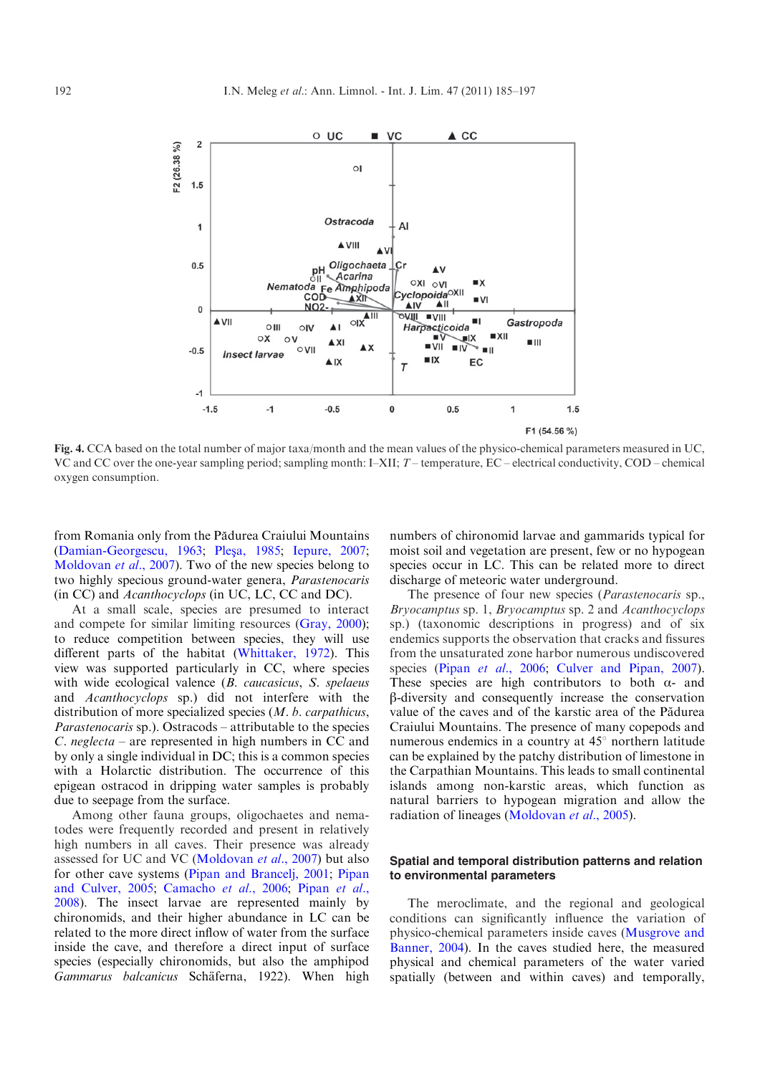<span id="page-7-0"></span>

Fig. 4. CCA based on the total number of major taxa/month and the mean values of the physico-chemical parameters measured in UC, VC and CC over the one-year sampling period; sampling month: I–XII; T–temperature, EC–electrical conductivity, COD–chemical oxygen consumption.

from Romania only from the Pădurea Craiului Mountains ([Damian-Georgescu, 1963](#page-11-0); Pleşa, 1985; [Iepure, 2007;](#page-11-0) [Moldovan](#page-11-0) *et al.*, 2007). Two of the new species belong to two highly specious ground-water genera, Parastenocaris (in CC) and Acanthocyclops (in UC, LC, CC and DC).

At a small scale, species are presumed to interact and compete for similar limiting resources ([Gray, 2000](#page-11-0)); to reduce competition between species, they will use different parts of the habitat [\(Whittaker, 1972\)](#page-12-0). This view was supported particularly in CC, where species with wide ecological valence (B. caucasicus, S. spelaeus and Acanthocyclops sp.) did not interfere with the distribution of more specialized species (*M. b. carpathicus*, Parastenocaris sp.). Ostracods – attributable to the species C. neglecta – are represented in high numbers in CC and by only a single individual in DC; this is a common species with a Holarctic distribution. The occurrence of this epigean ostracod in dripping water samples is probably due to seepage from the surface.

Among other fauna groups, oligochaetes and nematodes were frequently recorded and present in relatively high numbers in all caves. Their presence was already assessed for UC and VC ([Moldovan](#page-11-0) et al., 2007) but also for other cave systems [\(Pipan and Brancelj, 2001](#page-12-0); [Pipan](#page-12-0) [and Culver, 2005;](#page-12-0) [Camacho](#page-11-0) et al., 2006; [Pipan](#page-12-0) et al., [2008](#page-12-0)). The insect larvae are represented mainly by chironomids, and their higher abundance in LC can be related to the more direct inflow of water from the surface inside the cave, and therefore a direct input of surface species (especially chironomids, but also the amphipod Gammarus balcanicus Schäferna, 1922). When high numbers of chironomid larvae and gammarids typical for moist soil and vegetation are present, few or no hypogean species occur in LC. This can be related more to direct discharge of meteoric water underground.

The presence of four new species (*Parastenocaris* sp., Bryocamptus sp. 1, Bryocamptus sp. 2 and Acanthocyclops sp.) (taxonomic descriptions in progress) and of six endemics supports the observation that cracks and fissures from the unsaturated zone harbor numerous undiscovered species (Pipan et al[., 2006;](#page-12-0) [Culver and Pipan, 2007](#page-11-0)). These species are high contributors to both  $\alpha$ - and b-diversity and consequently increase the conservation value of the caves and of the karstic area of the Pădurea Craiului Mountains. The presence of many copepods and numerous endemics in a country at  $45^{\circ}$  northern latitude can be explained by the patchy distribution of limestone in the Carpathian Mountains. This leads to small continental islands among non-karstic areas, which function as natural barriers to hypogean migration and allow the radiation of lineages [\(Moldovan](#page-11-0) et al., 2005).

# Spatial and temporal distribution patterns and relation to environmental parameters

The meroclimate, and the regional and geological conditions can significantly influence the variation of physico-chemical parameters inside caves [\(Musgrove and](#page-12-0) [Banner, 2004](#page-12-0)). In the caves studied here, the measured physical and chemical parameters of the water varied spatially (between and within caves) and temporally,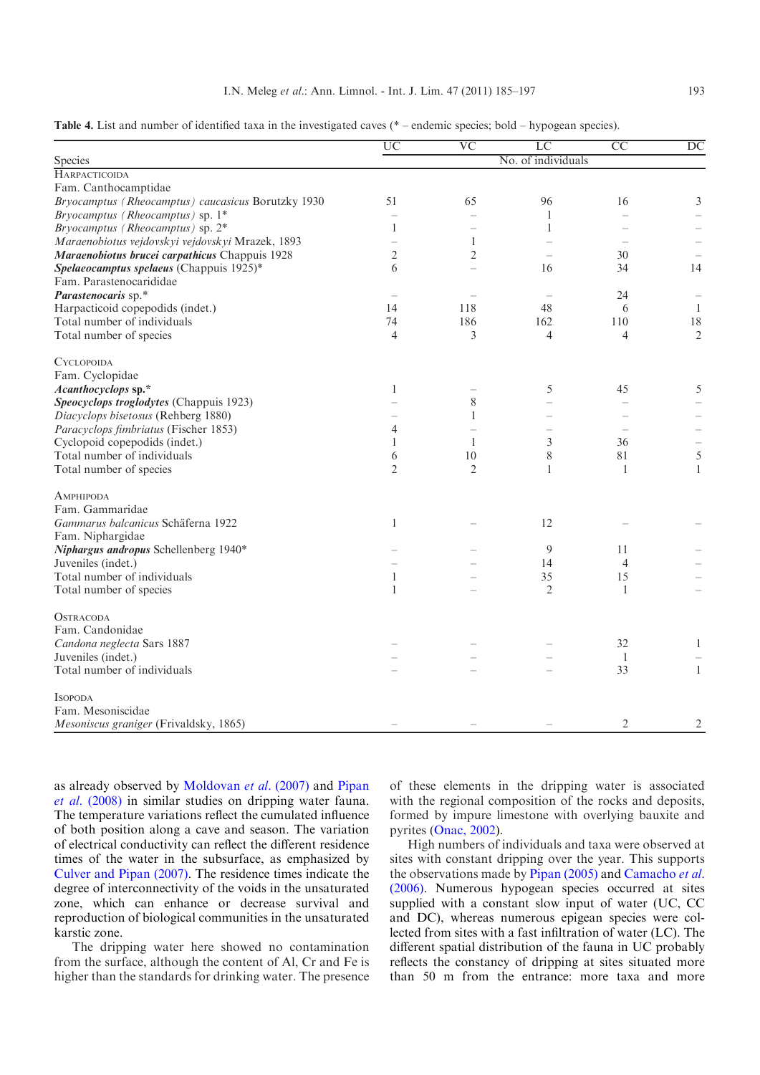<span id="page-8-0"></span>

| Table 4. List and number of identified taxa in the investigated caves (* – endemic species; bold – hypogean species). |  |  |  |  |
|-----------------------------------------------------------------------------------------------------------------------|--|--|--|--|
|                                                                                                                       |  |  |  |  |
|                                                                                                                       |  |  |  |  |

|                                                    | $\overline{UC}$ | $\overline{\text{VC}}$ | $\overline{LC}$          | $\overline{CC}$ | $\overline{DC}$ |
|----------------------------------------------------|-----------------|------------------------|--------------------------|-----------------|-----------------|
| Species                                            |                 |                        | No. of individuals       |                 |                 |
| HARPACTICOIDA                                      |                 |                        |                          |                 |                 |
| Fam. Canthocamptidae                               |                 |                        |                          |                 |                 |
| Bryocamptus (Rheocamptus) caucasicus Borutzky 1930 | 51              | 65                     | 96                       | 16              | 3               |
| Bryocamptus (Rheocamptus) sp. 1*                   |                 |                        | 1                        |                 |                 |
| Bryocamptus (Rheocamptus) sp. 2*                   | 1               |                        | 1                        |                 |                 |
| Maraenobiotus vejdovskyi vejdovskyi Mrazek, 1893   |                 | 1                      |                          |                 |                 |
| Maraenobiotus brucei carpathicus Chappuis 1928     | $\overline{c}$  | 2                      | $\overline{\phantom{a}}$ | 30              |                 |
| Spelaeocamptus spelaeus (Chappuis 1925)*           | 6               |                        | 16                       | 34              | 14              |
| Fam. Parastenocarididae                            |                 |                        |                          |                 |                 |
| Parastenocaris sp.*                                |                 |                        | $\overline{\phantom{a}}$ | 24              |                 |
| Harpacticoid copepodids (indet.)                   | 14              | 118                    | 48                       | 6               | -1              |
| Total number of individuals                        | 74              | 186                    | 162                      | 110             | 18              |
| Total number of species                            | $\overline{4}$  | 3                      | $\overline{4}$           | $\overline{4}$  | $\overline{2}$  |
| <b>CYCLOPOIDA</b>                                  |                 |                        |                          |                 |                 |
| Fam. Cyclopidae                                    |                 |                        |                          |                 |                 |
| Acanthocyclops sp.*                                | $\mathbf{1}$    |                        | 5                        | 45              | 5               |
| Speocyclops troglodytes (Chappuis 1923)            |                 | 8                      |                          |                 |                 |
| Diacyclops bisetosus (Rehberg 1880)                |                 | 1                      |                          |                 |                 |
| Paracyclops fimbriatus (Fischer 1853)              | 4               |                        |                          |                 |                 |
| Cyclopoid copepodids (indet.)                      | 1               | 1                      | 3                        | 36              |                 |
| Total number of individuals                        | 6               | 10                     | 8                        | 81              | 5               |
| Total number of species                            | $\overline{2}$  | $\overline{2}$         | 1                        | $\overline{1}$  | $\mathbf{1}$    |
| AMPHIPODA                                          |                 |                        |                          |                 |                 |
| Fam. Gammaridae                                    |                 |                        |                          |                 |                 |
| Gammarus balcanicus Schäferna 1922                 | $\mathbf{1}$    |                        | 12                       |                 |                 |
| Fam. Niphargidae                                   |                 |                        |                          |                 |                 |
| Niphargus andropus Schellenberg 1940*              |                 |                        | 9                        | 11              |                 |
| Juveniles (indet.)                                 |                 |                        | 14                       | $\overline{4}$  |                 |
| Total number of individuals                        | $\mathbf{1}$    |                        | 35                       | 15              |                 |
| Total number of species                            | $\mathbf{1}$    |                        | $\overline{2}$           | -1              |                 |
| <b>OSTRACODA</b>                                   |                 |                        |                          |                 |                 |
| Fam. Candonidae                                    |                 |                        |                          |                 |                 |
| Candona neglecta Sars 1887                         |                 |                        |                          | 32              | $\mathbf{1}$    |
| Juveniles (indet.)                                 |                 |                        |                          | $\overline{1}$  |                 |
| Total number of individuals                        |                 |                        |                          | 33              | $\mathbf{1}$    |
| <b>ISOPODA</b>                                     |                 |                        |                          |                 |                 |
| Fam. Mesoniscidae                                  |                 |                        |                          |                 |                 |
| Mesoniscus graniger (Frivaldsky, 1865)             |                 |                        |                          | 2               | 2               |

as already observed by [Moldovan](#page-11-0) et al. (2007) and [Pipan](#page-12-0) et al[. \(2008\)](#page-12-0) in similar studies on dripping water fauna. The temperature variations reflect the cumulated influence of both position along a cave and season. The variation of electrical conductivity can reflect the different residence times of the water in the subsurface, as emphasized by [Culver and Pipan \(2007\).](#page-11-0) The residence times indicate the degree of interconnectivity of the voids in the unsaturated zone, which can enhance or decrease survival and reproduction of biological communities in the unsaturated karstic zone.

The dripping water here showed no contamination from the surface, although the content of Al, Cr and Fe is higher than the standards for drinking water. The presence

of these elements in the dripping water is associated with the regional composition of the rocks and deposits, formed by impure limestone with overlying bauxite and pyrites ([Onac, 2002\)](#page-12-0).

High numbers of individuals and taxa were observed at sites with constant dripping over the year. This supports the observations made by [Pipan \(2005\)](#page-12-0) and [Camacho](#page-11-0) et al. [\(2006\).](#page-11-0) Numerous hypogean species occurred at sites supplied with a constant slow input of water (UC, CC and DC), whereas numerous epigean species were collected from sites with a fast infiltration of water (LC). The different spatial distribution of the fauna in UC probably reflects the constancy of dripping at sites situated more than 50 m from the entrance: more taxa and more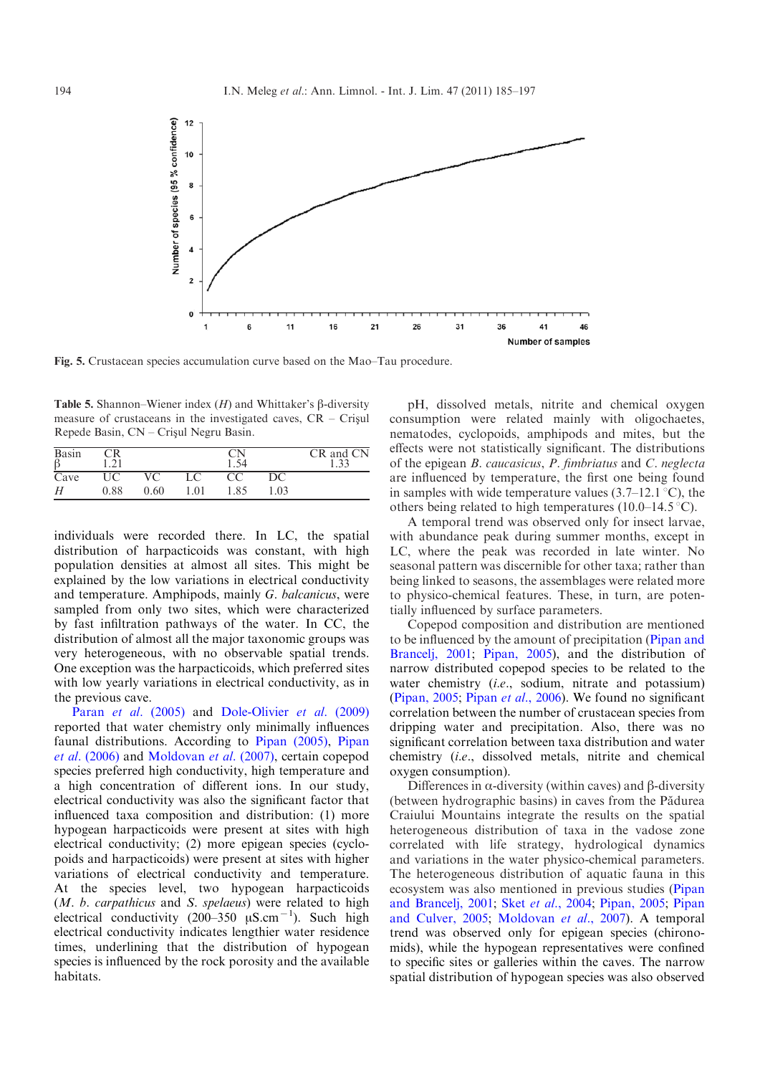<span id="page-9-0"></span>

Fig. 5. Crustacean species accumulation curve based on the Mao–Tau procedure.

Table 5. Shannon–Wiener index  $(H)$  and Whittaker's  $\beta$ -diversity measure of crustaceans in the investigated caves,  $CR - Crisul$ Repede Basin, CN – Crișul Negru Basin.

| Basin | $\mathcal{L}_{1}$ |      |     |      |     | CR and CN<br>1, 22 |
|-------|-------------------|------|-----|------|-----|--------------------|
| Cave  |                   |      |     |      | DC  |                    |
| Н     | 0.88              | 0.60 | .01 | 1.85 | .03 |                    |

individuals were recorded there. In LC, the spatial distribution of harpacticoids was constant, with high population densities at almost all sites. This might be explained by the low variations in electrical conductivity and temperature. Amphipods, mainly G. balcanicus, were sampled from only two sites, which were characterized by fast infiltration pathways of the water. In CC, the distribution of almost all the major taxonomic groups was very heterogeneous, with no observable spatial trends. One exception was the harpacticoids, which preferred sites with low yearly variations in electrical conductivity, as in the previous cave.

Paran et al. [\(2005\)](#page-12-0) and [Dole-Olivier](#page-11-0) et al. (2009) reported that water chemistry only minimally influences faunal distributions. According to [Pipan \(2005\),](#page-12-0) [Pipan](#page-12-0) et al. [\(2006\)](#page-12-0) and [Moldovan](#page-11-0) et al. (2007), certain copepod species preferred high conductivity, high temperature and a high concentration of different ions. In our study, electrical conductivity was also the significant factor that influenced taxa composition and distribution: (1) more hypogean harpacticoids were present at sites with high electrical conductivity; (2) more epigean species (cyclopoids and harpacticoids) were present at sites with higher variations of electrical conductivity and temperature. At the species level, two hypogean harpacticoids (M. b. carpathicus and S. spelaeus) were related to high electrical conductivity  $(200-350 \ \mu S.cm^{-1})$ . Such high electrical conductivity indicates lengthier water residence times, underlining that the distribution of hypogean species is influenced by the rock porosity and the available habitats.

pH, dissolved metals, nitrite and chemical oxygen consumption were related mainly with oligochaetes, nematodes, cyclopoids, amphipods and mites, but the effects were not statistically significant. The distributions of the epigean B. caucasicus, P. fimbriatus and C. neglecta are influenced by temperature, the first one being found in samples with wide temperature values  $(3.7–12.1 \degree C)$ , the others being related to high temperatures (10.0–14.5  $\degree$ C).

A temporal trend was observed only for insect larvae, with abundance peak during summer months, except in LC, where the peak was recorded in late winter. No seasonal pattern was discernible for other taxa; rather than being linked to seasons, the assemblages were related more to physico-chemical features. These, in turn, are potentially influenced by surface parameters.

Copepod composition and distribution are mentioned to be influenced by the amount of precipitation ([Pipan and](#page-12-0) [Brancelj, 2001](#page-12-0); [Pipan, 2005](#page-12-0)), and the distribution of narrow distributed copepod species to be related to the water chemistry (*i.e.*, sodium, nitrate and potassium) ([Pipan, 2005](#page-12-0); Pipan et al[., 2006](#page-12-0)). We found no significant correlation between the number of crustacean species from dripping water and precipitation. Also, there was no significant correlation between taxa distribution and water chemistry (i.e., dissolved metals, nitrite and chemical oxygen consumption).

Differences in  $\alpha$ -diversity (within caves) and  $\beta$ -diversity (between hydrographic basins) in caves from the Pădurea Craiului Mountains integrate the results on the spatial heterogeneous distribution of taxa in the vadose zone correlated with life strategy, hydrological dynamics and variations in the water physico-chemical parameters. The heterogeneous distribution of aquatic fauna in this ecosystem was also mentioned in previous studies ([Pipan](#page-12-0) [and Brancelj, 2001](#page-12-0); Sket et al.[, 2004](#page-12-0); [Pipan, 2005](#page-12-0); [Pipan](#page-12-0) [and Culver, 2005](#page-12-0); [Moldovan](#page-11-0) et al., 2007). A temporal trend was observed only for epigean species (chironomids), while the hypogean representatives were confined to specific sites or galleries within the caves. The narrow spatial distribution of hypogean species was also observed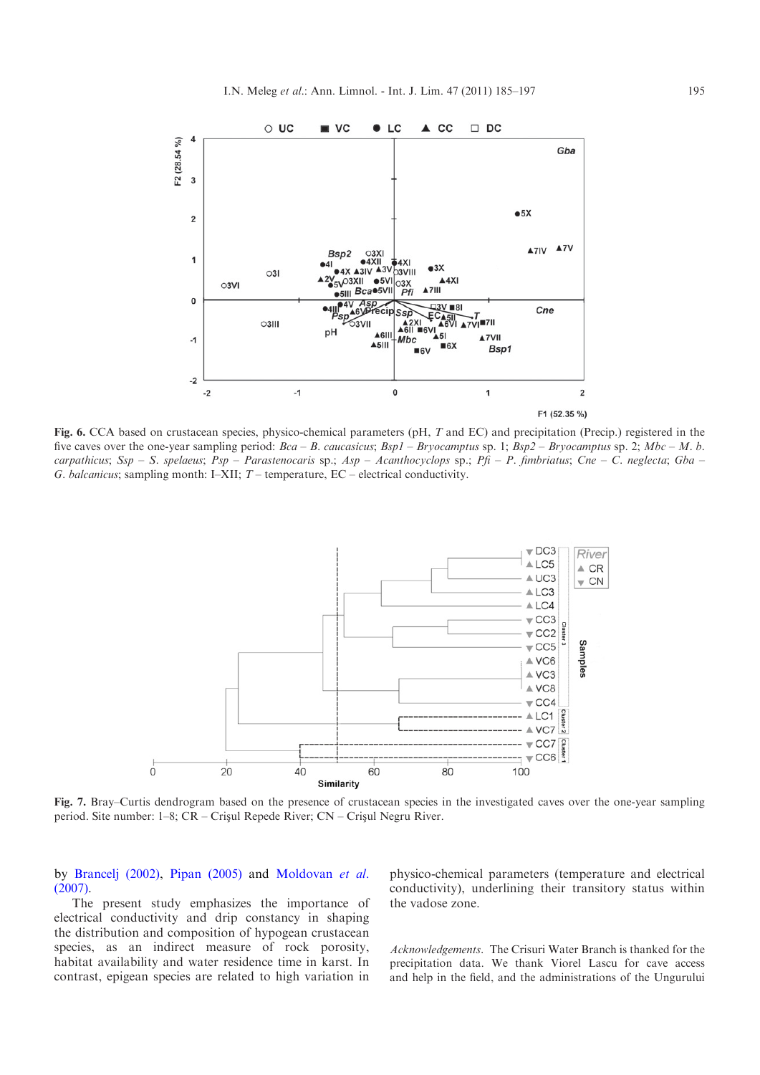<span id="page-10-0"></span>

Fig. 6. CCA based on crustacean species, physico-chemical parameters (pH, T and EC) and precipitation (Precip.) registered in the five caves over the one-year sampling period:  $Bca - B$ . caucasicus;  $Bsp1 - Bryocamptus$  sp. 1;  $Bsp2 - Bryocamptus$  sp. 2;  $Mbc - M$ . b. carpathicus; Ssp - S. spelaeus; Psp - Parastenocaris sp.; Asp - Acanthocyclops sp.; Pfi - P. fimbriatus; Cne - C. neglecta; Gba -G. balcanicus; sampling month: I–XII;  $T$  – temperature, EC – electrical conductivity.



Fig. 7. Bray–Curtis dendrogram based on the presence of crustacean species in the investigated caves over the one-year sampling period. Site number: 1–8; CR – Crisul Repede River; CN – Crisul Negru River.

by [Brancelj \(2002\),](#page-11-0) [Pipan \(2005\)](#page-12-0) and [Moldovan](#page-11-0) et al. [\(2007\).](#page-11-0)

The present study emphasizes the importance of electrical conductivity and drip constancy in shaping the distribution and composition of hypogean crustacean species, as an indirect measure of rock porosity, habitat availability and water residence time in karst. In contrast, epigean species are related to high variation in

physico-chemical parameters (temperature and electrical conductivity), underlining their transitory status within the vadose zone.

Acknowledgements. The Crisuri Water Branch is thanked for the precipitation data. We thank Viorel Lascu for cave access and help in the field, and the administrations of the Ungurului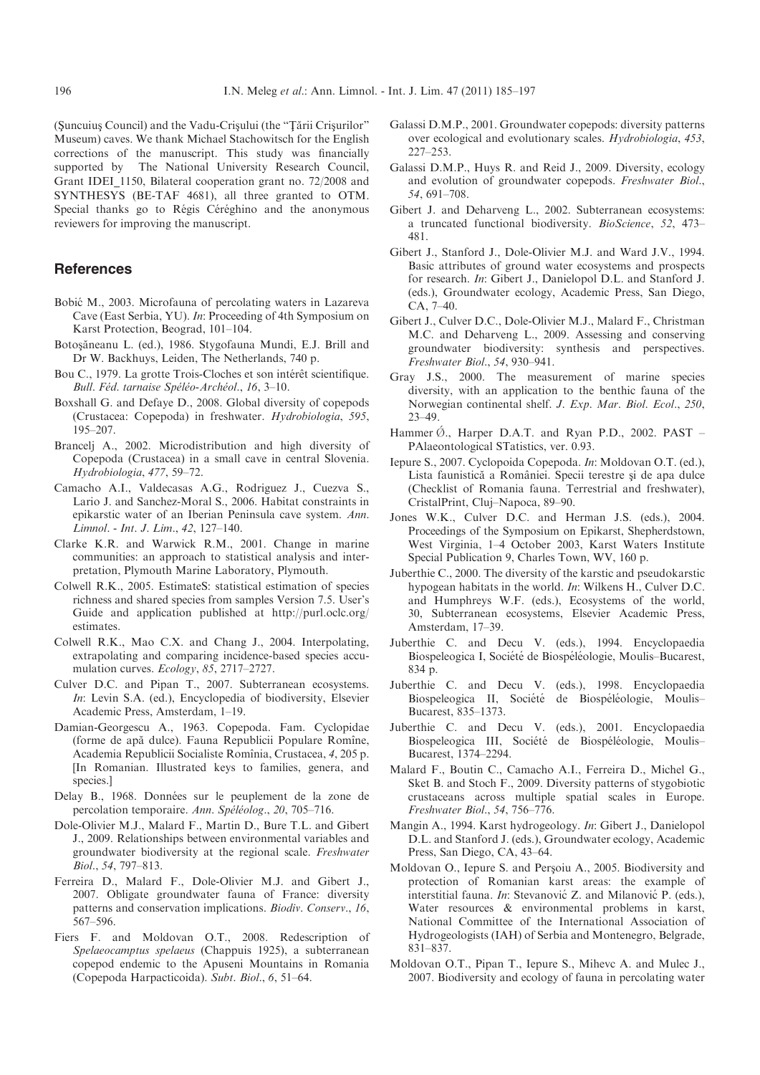<span id="page-11-0"></span>(Suncuius Council) and the Vadu-Crisului (the "Țării Crisurilor" Museum) caves. We thank Michael Stachowitsch for the English corrections of the manuscript. This study was financially supported by The National University Research Council, Grant IDEI\_1150, Bilateral cooperation grant no. 72/2008 and SYNTHESYS (BE-TAF 4681), all three granted to OTM. Special thanks go to Régis Céréghino and the anonymous reviewers for improving the manuscript.

# References

- Bobić M., 2003. Microfauna of percolating waters in Lazareva Cave (East Serbia, YU). In: Proceeding of 4th Symposium on Karst Protection, Beograd, 101–104.
- Botosăneanu L. (ed.), 1986. Stygofauna Mundi, E.J. Brill and Dr W. Backhuys, Leiden, The Netherlands, 740 p.
- Bou C., 1979. La grotte Trois-Cloches et son intérêt scientifique. Bull. Féd. tarnaise Spéléo-Archéol., 16, 3-10.
- Boxshall G. and Defaye D., 2008. Global diversity of copepods (Crustacea: Copepoda) in freshwater. Hydrobiologia, 595, 195–207.
- Brancelj A., 2002. Microdistribution and high diversity of Copepoda (Crustacea) in a small cave in central Slovenia. Hydrobiologia, 477, 59–72.
- Camacho A.I., Valdecasas A.G., Rodriguez J., Cuezva S., Lario J. and Sanchez-Moral S., 2006. Habitat constraints in epikarstic water of an Iberian Peninsula cave system. Ann. Limnol. - Int. J. Lim., 42, 127–140.
- Clarke K.R. and Warwick R.M., 2001. Change in marine communities: an approach to statistical analysis and interpretation, Plymouth Marine Laboratory, Plymouth.
- Colwell R.K., 2005. EstimateS: statistical estimation of species richness and shared species from samples Version 7.5. User's Guide and application published at http://purl.oclc.org/ estimates.
- Colwell R.K., Mao C.X. and Chang J., 2004. Interpolating, extrapolating and comparing incidence-based species accumulation curves. Ecology, 85, 2717–2727.
- Culver D.C. and Pipan T., 2007. Subterranean ecosystems. In: Levin S.A. (ed.), Encyclopedia of biodiversity, Elsevier Academic Press, Amsterdam, 1–19.
- Damian-Georgescu A., 1963. Copepoda. Fam. Cyclopidae (forme de apă dulce). Fauna Republicii Populare Romîne, Academia Republicii Socialiste Romînia, Crustacea, 4, 205 p. [In Romanian. Illustrated keys to families, genera, and species.]
- Delay B., 1968. Données sur le peuplement de la zone de percolation temporaire. Ann. Spéléolog., 20, 705–716.
- Dole-Olivier M.J., Malard F., Martin D., Bure T.L. and Gibert J., 2009. Relationships between environmental variables and groundwater biodiversity at the regional scale. Freshwater Biol., 54, 797–813.
- Ferreira D., Malard F., Dole-Olivier M.J. and Gibert J., 2007. Obligate groundwater fauna of France: diversity patterns and conservation implications. Biodiv. Conserv., 16, 567–596.
- Fiers F. and Moldovan O.T., 2008. Redescription of Spelaeocamptus spelaeus (Chappuis 1925), a subterranean copepod endemic to the Apuseni Mountains in Romania (Copepoda Harpacticoida). Subt. Biol., 6, 51–64.
- Galassi D.M.P., 2001. Groundwater copepods: diversity patterns over ecological and evolutionary scales. Hydrobiologia, 453, 227–253.
- Galassi D.M.P., Huys R. and Reid J., 2009. Diversity, ecology and evolution of groundwater copepods. Freshwater Biol., 54, 691–708.
- Gibert J. and Deharveng L., 2002. Subterranean ecosystems: a truncated functional biodiversity. BioScience, 52, 473– 481.
- Gibert J., Stanford J., Dole-Olivier M.J. and Ward J.V., 1994. Basic attributes of ground water ecosystems and prospects for research. In: Gibert J., Danielopol D.L. and Stanford J. (eds.), Groundwater ecology, Academic Press, San Diego, CA, 7–40.
- Gibert J., Culver D.C., Dole-Olivier M.J., Malard F., Christman M.C. and Deharveng L., 2009. Assessing and conserving groundwater biodiversity: synthesis and perspectives. Freshwater Biol., 54, 930–941.
- Gray J.S., 2000. The measurement of marine species diversity, with an application to the benthic fauna of the Norwegian continental shelf. J. Exp. Mar. Biol. Ecol., 250, 23–49.
- Hammer  $\emptyset$ ., Harper D.A.T. and Ryan P.D., 2002. PAST PAlaeontological STatistics, ver. 0.93.
- Iepure S., 2007. Cyclopoida Copepoda. In: Moldovan O.T. (ed.), Lista faunistică a României. Specii terestre și de apa dulce (Checklist of Romania fauna. Terrestrial and freshwater), CristalPrint, Cluj–Napoca, 89–90.
- Jones W.K., Culver D.C. and Herman J.S. (eds.), 2004. Proceedings of the Symposium on Epikarst, Shepherdstown, West Virginia, 1–4 October 2003, Karst Waters Institute Special Publication 9, Charles Town, WV, 160 p.
- Juberthie C., 2000. The diversity of the karstic and pseudokarstic hypogean habitats in the world. In: Wilkens H., Culver D.C. and Humphreys W.F. (eds.), Ecosystems of the world, 30, Subterranean ecosystems, Elsevier Academic Press, Amsterdam, 17–39.
- Juberthie C. and Decu V. (eds.), 1994. Encyclopaedia Biospeleogica I, Société de Biospéléologie, Moulis–Bucarest, 834 p.
- Juberthie C. and Decu V. (eds.), 1998. Encyclopaedia Biospeleogica II, Société de Biospéléologie, Moulis– Bucarest, 835–1373.
- Juberthie C. and Decu V. (eds.), 2001. Encyclopaedia Biospeleogica III, Société de Biospéléologie, Moulis– Bucarest, 1374–2294.
- Malard F., Boutin C., Camacho A.I., Ferreira D., Michel G., Sket B. and Stoch F., 2009. Diversity patterns of stygobiotic crustaceans across multiple spatial scales in Europe. Freshwater Biol., 54, 756–776.
- Mangin A., 1994. Karst hydrogeology. In: Gibert J., Danielopol D.L. and Stanford J. (eds.), Groundwater ecology, Academic Press, San Diego, CA, 43–64.
- Moldovan O., Iepure S. and Perşoiu A., 2005. Biodiversity and protection of Romanian karst areas: the example of interstitial fauna. In: Stevanović Z. and Milanović P. (eds.), Water resources & environmental problems in karst, National Committee of the International Association of Hydrogeologists (IAH) of Serbia and Montenegro, Belgrade, 831–837.
- Moldovan O.T., Pipan T., Iepure S., Mihevc A. and Mulec J., 2007. Biodiversity and ecology of fauna in percolating water